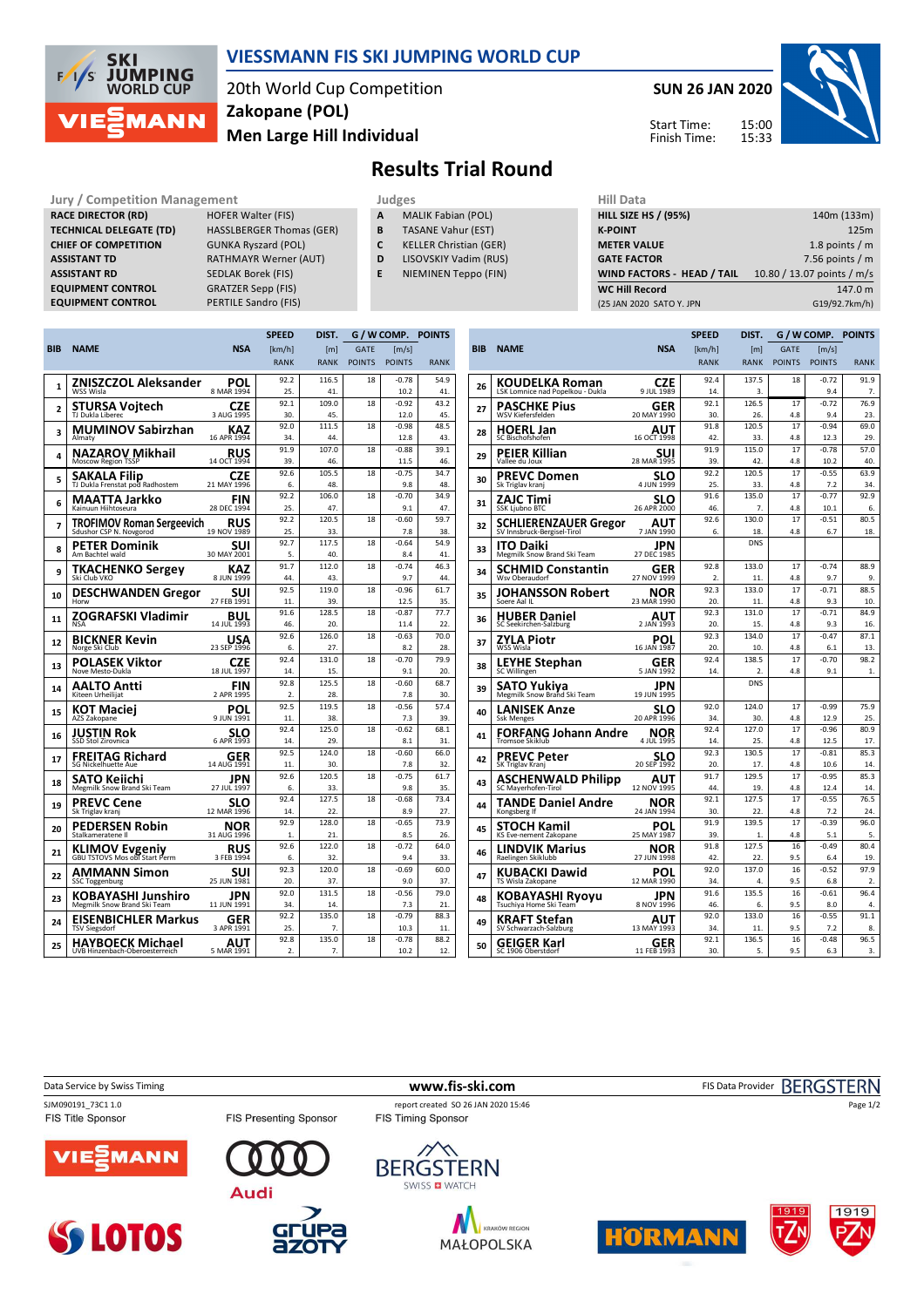

## **VIESSMANN FIS SKI JUMPING WORLD CUP**

20th World Cup Competition **Men Large Hill Individual Zakopane (POL)**

**SUN 26 JAN 2020** 15:00 15:33 Start Time: Finish Time:



**Results Trial Round**

**RACE DIRECTOR (RD) HOFER Walter (FIS) TECHNICAL DELEGATE (TD)** HASSLBERGER Thomas (GER) **CHIEF OF COMPETITION** GUNKA Ryszard (POL) **ASSISTANT TD** RATHMAYR Werner (AUT) **ASSISTANT RD** SEDLAK Borek (FIS) **EQUIPMENT CONTROL** GRATZER Sepp (FIS)

**Jury / Competition Management Management All Data** Judges **Hill Data EQUIPMENT CONTROL** PERTILE Sandro (FIS)

- 
- **A** MALIK Fabian (POL) **B** TASANE Vahur (EST)
- **C** KELLER Christian (GER)
- **D** LISOVSKIY Vadim (RUS)
- **E** NIEMINEN Teppo (FIN)

| <b>HILL SIZE HS / (95%)</b> | 140m (133m)                |
|-----------------------------|----------------------------|
| <b>K-POINT</b>              | 125m                       |
| <b>METER VALUE</b>          | 1.8 points $/m$            |
| <b>GATE FACTOR</b>          | 7.56 points $/m$           |
| WIND FACTORS - HEAD / TAIL  | 10.80 / 13.07 points / m/s |
| <b>WC Hill Record</b>       | 147.0 m                    |
| (25 JAN 2020 SATO Y. JPN    | G19/92.7km/h)              |
|                             |                            |

|                |                                                        |                    | <b>SPEED</b>   | DIST.        |               | G / W COMP. POINTS |             |
|----------------|--------------------------------------------------------|--------------------|----------------|--------------|---------------|--------------------|-------------|
| BIB            | <b>NAME</b>                                            | <b>NSA</b>         | [km/h]         | [m]          | <b>GATE</b>   | $\mathsf{Im/s}$    |             |
|                |                                                        |                    | <b>RANK</b>    | <b>RANK</b>  | <b>POINTS</b> | <b>POINTS</b>      | <b>RANK</b> |
|                | ZNISZCZOL Aleksander                                   | POL                | 92.2           | 116.5        | 18            | $-0.78$            | 54.9        |
| 1              | WSS Wisla                                              | 8 MAR 1994         | 25             | 41.          |               | 10.2               | 41.         |
| $\overline{2}$ | STURSA Voitech                                         | CZE                | 92.1           | 109.0        | 18            | $-0.92$            | 43.2        |
|                | TJ Dukla Liberec                                       | 3 AUG 1995         | 30.            | 45.          |               | 12.0               | 45.         |
| 3              | <b>MUMINOV Sabirzhan</b>                               | KAZ                | 92.0           | 111.5        | 18            | $-0.98$            | 48.5        |
|                | Almaty                                                 | 16 APR 1994        | 34.            | 44.          |               | 12.8               | 43.         |
| 4              | NAZAROV Mikhail                                        | RUS                | 91.9           | 107.0        | 18            | $-0.88$            | 39.1        |
|                | <b>Moscow Region TSSP</b>                              | 14 OCT 1994        | 39.            | 46.          |               | 11.5               | 46.         |
| 5              | <b>SAKALA Filip</b>                                    | CZE                | 92.6           | 105.5        | 18            | $-0.75$            | 34.7        |
|                | TJ Dukla Frenstat pod Radhostem                        | 21 MAY 1996        | 6.             | 48.          |               | 9.8                | 48.         |
| 6              | MAATTA Jarkko                                          | FIN                | 92.2           | 106.0        | 18            | $-0.70$            | 34.9        |
|                | Kainuun Hiihtoseura                                    | 28 DEC 1994        | 25.            | 47.          |               | 9.1                | 47.         |
| 7              | TROFIMOV Roman Sergeevich                              | RUS<br>19 NOV 1989 | 92.2           | 120.5        | 18            | $-0.60$<br>7.8     | 59.7        |
|                |                                                        |                    | 25.<br>92.7    | 33.<br>117.5 | 18            | $-0.64$            | 38.<br>54.9 |
| 8              | PETER Dominik<br>Am Bachtel wald                       | SUI<br>30 MAY 2001 | 5.             | 40           |               | 8.4                | 41          |
|                |                                                        |                    | 91.7           | 112.0        | 18            | $-0.74$            | 46.3        |
| 9              | TKACHENKO Sergey<br>Ski Club VKO                       | KAZ<br>8 JUN 1999  | 44             | 43.          |               | 9.7                | 44.         |
|                |                                                        |                    | 92.5           | 119.0        | 18            | $-0.96$            | 61.7        |
| 10             | <b>DESCHWANDEN Gregor</b><br>Horw                      | SUI<br>27 FEB 1991 | 11.            | 39.          |               | 12.5               | 35.         |
|                | ZOGRAFSKI Vladimir                                     | BUL                | 91.6           | 128.5        | 18            | $-0.87$            | 77.7        |
| 11             | <b>NSA</b>                                             | 14 JUL 1993        | 46.            | 20.          |               | 11.4               | 22.         |
|                | BICKNER Kevin                                          | USA                | 92.6           | 126.0        | 18            | $-0.63$            | 70.0        |
| 12             | Norge Ski Club                                         | 23 SEP 1996        | 6.             | 27.          |               | 8.2                | 28          |
| 13             | POLASEK Viktor                                         | CZE                | 92.4           | 131.0        | 18            | $-0.70$            | 79.9        |
|                | Nove Mesto-Dukla                                       | 18 JUL 1997        | 14.            | 15.          |               | 9.1                | 20.         |
| 14             | AALTO Antti                                            | FIN                | 92.8           | 125.5        | 18            | $-0.60$            | 68.7        |
|                | Kiteen Urheilijat                                      | 2 APR 1995         | 2.             | 28.          |               | 7.8                | 30.         |
| 15             | KOT Maciej                                             | POL                | 92.5           | 119.5        | 18            | $-0.56$            | 57.4        |
|                | AZS Zakopane                                           | 9 JUN 1991         | 11.            | 38.          |               | 7.3                | 39.         |
| 16             | JUSTIN Rok                                             | SLO                | 92.4           | 125.0        | 18            | $-0.62$            | 68.1        |
|                | SSD Stol Zirovnica                                     | 6 APR 1993         | 14.            | 29.          |               | 8.1                | 31.         |
| 17             | FREITAG Richard                                        | GER                | 92.5           | 124.0        | 18            | $-0.60$            | 66.0        |
|                | <b>SG Nickelhuette Aue</b>                             | 14 AUG 1991        | 11.<br>92.6    | 30.<br>120.5 | 18            | 7.8<br>$-0.75$     | 32.<br>61.7 |
| 18             | SATO Keiichi<br>Megmilk Snow Brand Ski Team            | JPN<br>27 JUL 1997 | 6.             | 33.          |               | 9.8                | 35.         |
|                |                                                        |                    | 92.4           | 127.5        | 18            | $-0.68$            | 73.4        |
| 19             | <b>PREVC Cene</b><br>Sk Triglav kranj                  | SLO<br>12 MAR 1996 | 14.            | 22.          |               | 8.9                | 27.         |
|                | PEDERSEN Robin                                         | NOR                | 92.9           | 128.0        | 18            | $-0.65$            | 73.9        |
| 20             | Stalkameratene II                                      | 31 AUG 1996        | 1.             | 21.          |               | 8.5                | 26.         |
|                |                                                        | RUS                | 92.6           | 122.0        | 18            | $-0.72$            | 64.0        |
| 21             | <b>KLIMOV Evgeniy</b><br>GBU TSTOVS Mos obl Start Perm | 3 FEB 1994         | 6.             | 32.          |               | 9.4                | 33.         |
| 22             | AMMANN Simon                                           | SUI                | 92.3           | 120.0        | 18            | $-0.69$            | 60.0        |
|                | <b>SSC Toggenburg</b>                                  | 25 JUN 1981        | 20.            | 37.          |               | 9.0                | 37.         |
| 23             | KOBAYASHI Junshiro                                     | JPN                | 92.0           | 131.5        | 18            | $-0.56$            | 79.0        |
|                | Megmilk Snow Brand Ski Team                            | 11 JUN 1991        | 34.            | 14.          |               | 7.3                | 21.         |
| 24             | EISENBICHLER Markus                                    | GER                | 92.2           | 135.0        | 18            | $-0.79$            | 88.3        |
|                | <b>TSV Siegsdorf</b>                                   | 3 APR 1991         | 25.            | 7.           |               | 10.3               | 11          |
| 25             | HAYBOECK Michael                                       | AUT                | 92.8           | 135.0        | 18            | $-0.78$            | 88.2        |
|                | UVB Hinzenbach-Oberoesterreich                         | 5 MAR 1991         | $\overline{2}$ | 7.           |               | 10.2               | 12.         |

|            |                                                  |                    | <b>SPEED</b> | DIST.                          | G / W COMP.   |                 | <b>POINTS</b> |
|------------|--------------------------------------------------|--------------------|--------------|--------------------------------|---------------|-----------------|---------------|
| <b>BIB</b> | <b>NAME</b>                                      | <b>NSA</b>         | [km/h]       | [m]                            | <b>GATE</b>   | [m/s]           |               |
|            |                                                  |                    | <b>RANK</b>  | <b>RANK</b>                    | <b>POINTS</b> | <b>POINTS</b>   | <b>RANK</b>   |
|            | KOUDELKA Roman                                   | CZE                | 92.4         | 137.5                          | 18            | $-0.72$         | 91.9          |
| 26         | LSK Lomnice nad Popelkou - Dukla                 | 9 JUL 1989         | 14.          | 3.                             |               | 9.4             | 7.            |
| 27         | PASCHKE Pius                                     | GER                | 92.1         | 126.5                          | 17            | $-0.72$         | 76.9          |
|            | WSV Kiefersfelden                                | 20 MAY 1990        | 30.          | 26.                            | 4.8           | $Q \Delta$      | 23.           |
| 28         | <b>HOERL Jan</b><br>SC Bischofshofen             | AUT<br>16 OCT 1998 | 91.8<br>42.  | 120.5<br>33.                   | 17<br>4.8     | $-0.94$<br>12.3 | 69.0<br>29.   |
|            | PEIER Killian                                    | SUI                | 91.9         | 115.0                          | 17            | $-0.78$         | 57.0          |
| 29         | Vallee du Joux                                   | 28 MAR 1995        | 39.          | 42.                            | 4.8           | 10.2            | 40.           |
| 30         | <b>PREVC Domen</b><br>Sk Triglav kranj           | SLO<br>4 JUN 1999  | 92.2<br>25.  | 120.5<br>33.                   | 17<br>4.8     | $-0.55$<br>7.2  | 63.9<br>34.   |
|            | ZAJC Timi                                        | SLO                | 91.6         | 135.0                          | 17            | $-0.77$         | 92.9          |
| 31         | <b>SSK Ljubno BTC</b>                            | 26 APR 2000        | 46.          | 7.                             | 4.8           | 10.1            | 6.            |
| 32         | SCHLIERENZAUER Gregor                            | AUT                | 92.6         | 130.0                          | 17            | $-0.51$         | 80.5          |
|            | SV Innsbruck-Bergisel-Tirol                      | 7 JAN 1990         | 6.           | 18.                            | 4.8           | 6.7             | 18.           |
| 33         | <b>ITO Daiki</b><br>Megmilk Snow Brand Ski Team  | JPN<br>27 DEC 1985 |              | <b>DNS</b>                     |               |                 |               |
| 34         | SCHMID Constantin                                | GER                | 92.8         | 133.0                          | 17            | $-0.74$         | 88.9          |
|            | Wsv Oberaudorf                                   | 27 NOV 1999        | 2.           | 11.                            | 4.8           | 9.7             | 9.            |
| 35         | JOHANSSON Robert                                 | NOR                | 92.3         | 133.0                          | 17            | $-0.71$         | 88.5          |
|            | Soere Aal IL                                     | 23 MAR 1990        | 20.          | 11.                            | 4.8           | 9.3             | 10.           |
| 36         | <b>HUBER Daniel</b><br>SC Seekirchen-Salzburg    | AUT<br>2 JAN 1993  | 92.3<br>20.  | 131.0<br>15.                   | 17<br>4.8     | $-0.71$<br>9.3  | 84.9<br>16.   |
|            |                                                  |                    | 92.3         | 134.0                          | 17            | $-0.47$         | 87.1          |
| 37         | ZYLA Piotr<br>WSS Wisla                          | POL<br>16 JAN 1987 | 20.          | 10.                            | 4.8           | 6.1             | 13.           |
| 38         | <b>LEYHE Stephan</b>                             | GER                | 92.4         | 138.5                          | 17            | $-0.70$         | 98.2          |
|            | SC Willingen                                     | 5 JAN 1992         | 14.          | $\overline{2}$ .<br><b>DNS</b> | 4.8           | 9.1             | 1.            |
| 39         | SATO Yukiya<br>Megmilk Snow Brand Ski Team       | JPN<br>19 JUN 1995 |              |                                |               |                 |               |
| 40         | LANISEK Anze                                     | SLO                | 92.0         | 124.0                          | 17            | $-0.99$         | 75.9          |
|            | <b>Ssk Menges</b>                                | 20 APR 1996        | 34.          | 30.                            | 4.8           | 12.9            | 25.           |
| 41         | FORFANG Johann Andre<br><b>Tromsoe Skiklub</b>   | NOR<br>4 JUL 1995  | 92.4<br>14.  | 127.0<br>25.                   | 17<br>4.8     | $-0.96$<br>12.5 | 80.9<br>17.   |
| 42         | PREVC Peter                                      | SLO                | 92.3         | 130.5                          | 17            | $-0.81$         | 85.3          |
|            | SK Triglav Kranj                                 | 20 SEP 1992        | 20.          | 17.                            | 4.8           | 10.6            | 14            |
| 43         | <b>ASCHENWALD Philipp</b><br>SC Maverhofen-Tirol | AUT<br>12 NOV 1995 | 91.7<br>44   | 129.5<br>19.                   | 17<br>4.8     | $-0.95$<br>12.4 | 85.3<br>14    |
|            |                                                  |                    | 92.1         | 127.5                          | 17            | $-0.55$         | 76.5          |
| 44         | TANDE Daniel Andre<br>Kongsberg If               | NOR<br>24 JAN 1994 | 30           | 22                             | 4.8           | 7.2             | 24            |
|            | STOCH Kamil                                      | POL                | 91.9         | 139.5                          | 17            | $-0.39$         | 96.0          |
| 45         | KS Eve-nement Zakopane                           | 25 MAY 1987        | 39.          | 1.                             | 4.8           | 5.1             | 5.            |
| 46         | LINDVIK Marius                                   | NOR                | 91.8         | 127.5                          | 16            | $-0.49$         | 80.4          |
|            | Raelingen Skiklubb                               | 27 JUN 1998        | 42.          | 22.                            | 9.5           | 6.4             | 19.           |
| 47         | <b>KUBACKI Dawid</b><br>TS Wisla Zakopane        | POL<br>12 MAR 1990 | 92.0<br>34.  | 137.0<br>4.                    | 16<br>9.5     | $-0.52$<br>6.8  | 97.9<br>2.    |
| 48         | <b>KOBAYASHI Ryoyu</b>                           | JPN                | 91.6         | 135.5                          | 16            | $-0.61$         | 96.4          |
|            | Tsuchiya Home Ski Team                           | 8 NOV 1996         | 46.          | 6.                             | 9.5           | 8.0             | 4.            |
| 49         | KRAFT Stefan<br>SV Schwarzach-Salzburg           | AUT<br>13 MAY 1993 | 92.0<br>34.  | 133.0<br>11.                   | 16<br>9.5     | $-0.55$<br>7.2  | 91.1<br>8.    |
|            |                                                  |                    | 92.1         | 136.5                          | 16            | $-0.48$         | 96.5          |
| 50         | GEIGER Karl<br>SC 1906 Oberstdorf                | GER<br>11 FEB 1993 | 30.          | 5.                             | 9.5           | 6.3             | 3.            |

Data Service by Swiss Timing **WWW.fis-ski.com www.fis-ski.com** FIS Data Provider BERGSTERN

FIS Title Sponsor

SJM090191\_73C1 1.0 report created SO 26 JAN 2020 15:46<br>FIS Title Sponsor FIS Timing Sponsor FIS Timing Sponsor FIS Presenting Sponsor



**SS LOTOS** 











Page 1/2